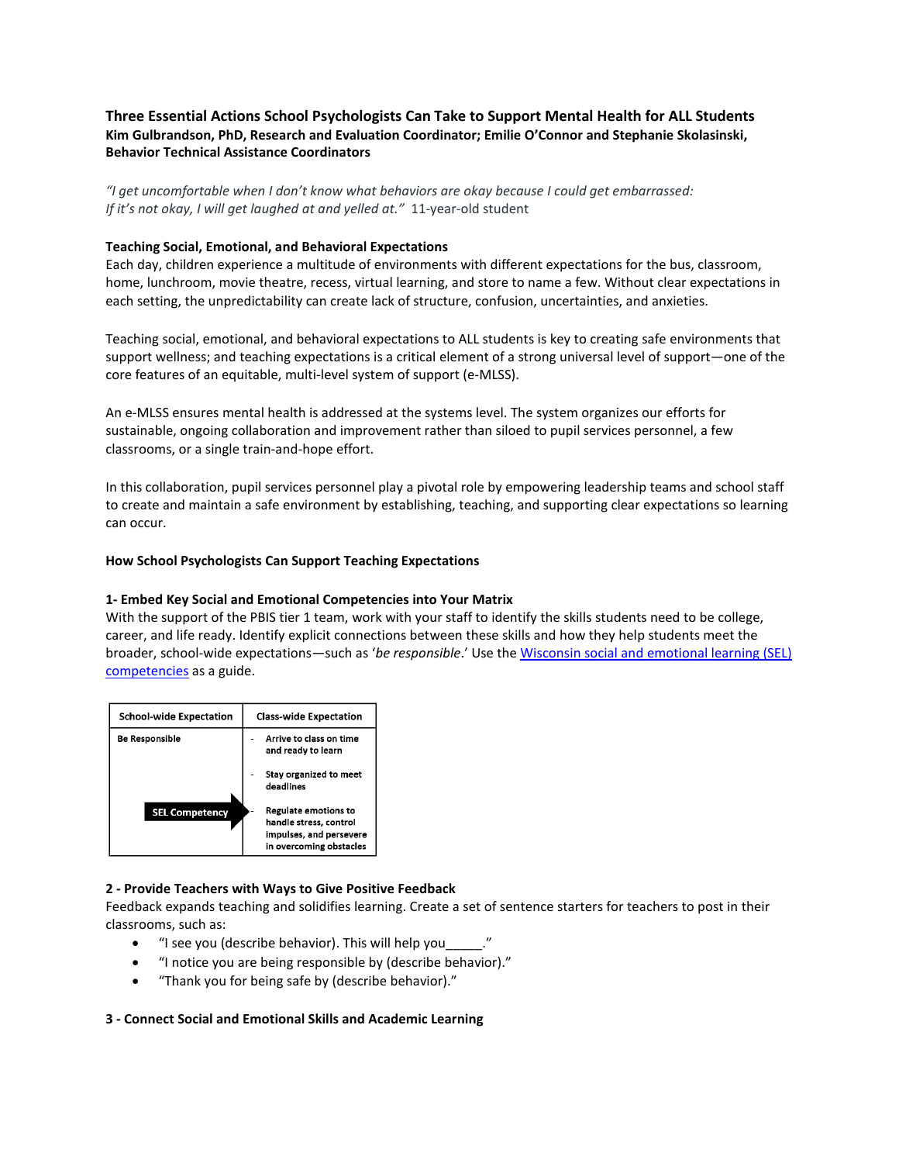# **Three Essential Actions School Psychologists Can Take to Support Mental Health for ALL Students Kim Gulbrandson, PhD, Research and Evaluation Coordinator; Emilie O'Connor and Stephanie Skolasinski, Behavior Technical Assistance Coordinators**

*"I get uncomfortable when I don't know what behaviors are okay because I could get embarrassed: If it's not okay, I will get laughed at and yelled at."* 11-year-old student

## **Teaching Social, Emotional, and Behavioral Expectations**

Each day, children experience a multitude of environments with different expectations for the bus, classroom, home, lunchroom, movie theatre, recess, virtual learning, and store to name a few. Without clear expectations in each setting, the unpredictability can create lack of structure, confusion, uncertainties, and anxieties.

Teaching social, emotional, and behavioral expectations to ALL students is key to creating safe environments that support wellness; and teaching expectations is a critical element of a strong universal level of support—one of the core features of an equitable, multi-level system of support (e-MLSS).

An e-MLSS ensures mental health is addressed at the systems level. The system organizes our efforts for sustainable, ongoing collaboration and improvement rather than siloed to pupil services personnel, a few classrooms, or a single train-and-hope effort.

In this collaboration, pupil services personnel play a pivotal role by empowering leadership teams and school staff to create and maintain a safe environment by establishing, teaching, and supporting clear expectations so learning can occur.

## **How School Psychologists Can Support Teaching Expectations**

#### **1- Embed Key Social and Emotional Competencies into Your Matrix**

With the support of the PBIS tier 1 team, work with your staff to identify the skills students need to be college, career, and life ready. Identify explicit connections between these skills and how they help students meet the broader, school-wide expectations—such as '*be responsible*.' Use th[e Wisconsin social and emotional learning \(SEL\)](https://dpi.wi.gov/sspw/mental-health/social-emotional-learning)  [competencies](https://dpi.wi.gov/sspw/mental-health/social-emotional-learning) as a guide.



## **2 - Provide Teachers with Ways to Give Positive Feedback**

Feedback expands teaching and solidifies learning. Create a set of sentence starters for teachers to post in their classrooms, such as:

- "I see you (describe behavior). This will help you\_
- "I notice you are being responsible by (describe behavior)."
- "Thank you for being safe by (describe behavior)."

#### **3 - Connect Social and Emotional Skills and Academic Learning**